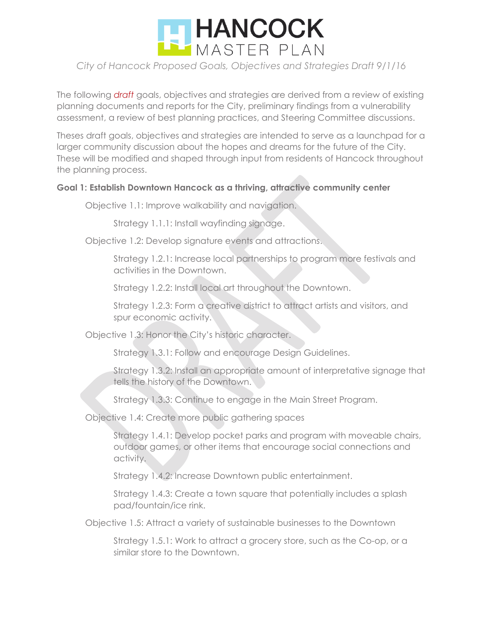

The following *draft* goals, objectives and strategies are derived from a review of existing planning documents and reports for the City, preliminary findings from a vulnerability assessment, a review of best planning practices, and Steering Committee discussions.

Theses draft goals, objectives and strategies are intended to serve as a launchpad for a larger community discussion about the hopes and dreams for the future of the City. These will be modified and shaped through input from residents of Hancock throughout the planning process.

#### **Goal 1: Establish Downtown Hancock as a thriving, attractive community center**

Objective 1.1: Improve walkability and navigation.

Strategy 1.1.1: Install wayfinding signage.

Objective 1.2: Develop signature events and attractions.

Strategy 1.2.1: Increase local partnerships to program more festivals and activities in the Downtown.

Strategy 1.2.2: Install local art throughout the Downtown.

Strategy 1.2.3: Form a creative district to attract artists and visitors, and spur economic activity.

Objective 1.3: Honor the City's historic character.

Strategy 1.3.1: Follow and encourage Design Guidelines.

Strategy 1.3.2: Install an appropriate amount of interpretative signage that tells the history of the Downtown.

Strategy 1.3.3: Continue to engage in the Main Street Program.

Objective 1.4: Create more public gathering spaces

Strategy 1.4.1: Develop pocket parks and program with moveable chairs, outdoor games, or other items that encourage social connections and activity.

Strategy 1.4.2: Increase Downtown public entertainment.

Strategy 1.4.3: Create a town square that potentially includes a splash pad/fountain/ice rink.

Objective 1.5: Attract a variety of sustainable businesses to the Downtown

Strategy 1.5.1: Work to attract a grocery store, such as the Co-op, or a similar store to the Downtown.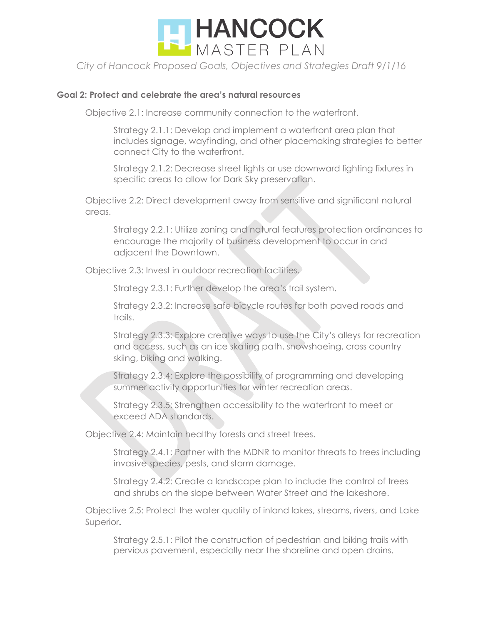

#### **Goal 2: Protect and celebrate the area's natural resources**

Objective 2.1: Increase community connection to the waterfront.

Strategy 2.1.1: Develop and implement a waterfront area plan that includes signage, wayfinding, and other placemaking strategies to better connect City to the waterfront.

Strategy 2.1.2: Decrease street lights or use downward lighting fixtures in specific areas to allow for Dark Sky preservation.

Objective 2.2: Direct development away from sensitive and significant natural areas.

Strategy 2.2.1: Utilize zoning and natural features protection ordinances to encourage the majority of business development to occur in and adjacent the Downtown.

Objective 2.3: Invest in outdoor recreation facilities.

Strategy 2.3.1: Further develop the area's trail system.

Strategy 2.3.2: Increase safe bicycle routes for both paved roads and trails.

Strategy 2.3.3: Explore creative ways to use the City's alleys for recreation and access, such as an ice skating path, snowshoeing, cross country skiing, biking and walking.

Strategy 2.3.4: Explore the possibility of programming and developing summer activity opportunities for winter recreation areas.

Strategy 2.3.5: Strengthen accessibility to the waterfront to meet or exceed ADA standards.

Objective 2.4: Maintain healthy forests and street trees.

Strategy 2.4.1: Partner with the MDNR to monitor threats to trees including invasive species, pests, and storm damage.

Strategy 2.4.2: Create a landscape plan to include the control of trees and shrubs on the slope between Water Street and the lakeshore.

Objective 2.5: Protect the water quality of inland lakes, streams, rivers, and Lake Superior**.**

Strategy 2.5.1: Pilot the construction of pedestrian and biking trails with pervious pavement, especially near the shoreline and open drains.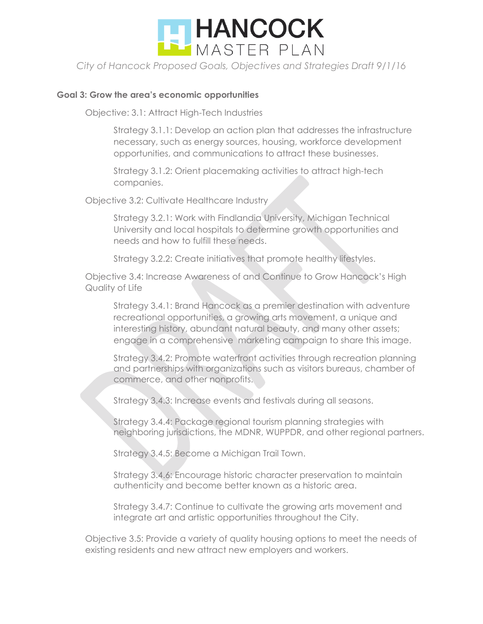

#### **Goal 3: Grow the area's economic opportunities**

Objective: 3.1: Attract High-Tech Industries

Strategy 3.1.1: Develop an action plan that addresses the infrastructure necessary, such as energy sources, housing, workforce development opportunities, and communications to attract these businesses.

Strategy 3.1.2: Orient placemaking activities to attract high-tech companies.

Objective 3.2: Cultivate Healthcare Industry

Strategy 3.2.1: Work with Findlandia University, Michigan Technical University and local hospitals to determine growth opportunities and needs and how to fulfill these needs.

Strategy 3.2.2: Create initiatives that promote healthy lifestyles.

Objective 3.4: Increase Awareness of and Continue to Grow Hancock's High Quality of Life

Strategy 3.4.1: Brand Hancock as a premier destination with adventure recreational opportunities, a growing arts movement, a unique and interesting history, abundant natural beauty, and many other assets; engage in a comprehensive marketing campaign to share this image.

Strategy 3.4.2: Promote waterfront activities through recreation planning and partnerships with organizations such as visitors bureaus, chamber of commerce, and other nonprofits.

Strategy 3.4.3: Increase events and festivals during all seasons.

Strategy 3.4.4: Package regional tourism planning strategies with neighboring jurisdictions, the MDNR, WUPPDR, and other regional partners.

Strategy 3.4.5: Become a Michigan Trail Town.

Strategy 3.4.6: Encourage historic character preservation to maintain authenticity and become better known as a historic area.

Strategy 3.4.7: Continue to cultivate the growing arts movement and integrate art and artistic opportunities throughout the City.

Objective 3.5: Provide a variety of quality housing options to meet the needs of existing residents and new attract new employers and workers.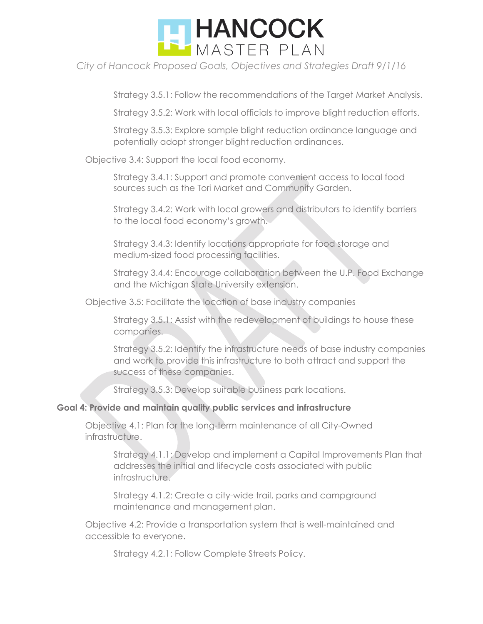

Strategy 3.5.1: Follow the recommendations of the Target Market Analysis.

Strategy 3.5.2: Work with local officials to improve blight reduction efforts.

Strategy 3.5.3: Explore sample blight reduction ordinance language and potentially adopt stronger blight reduction ordinances.

Objective 3.4: Support the local food economy.

Strategy 3.4.1: Support and promote convenient access to local food sources such as the Tori Market and Community Garden.

Strategy 3.4.2: Work with local growers and distributors to identify barriers to the local food economy's growth.

Strategy 3.4.3: Identify locations appropriate for food storage and medium-sized food processing facilities.

Strategy 3.4.4: Encourage collaboration between the U.P. Food Exchange and the Michigan State University extension.

Objective 3.5: Facilitate the location of base industry companies

Strategy 3.5.1: Assist with the redevelopment of buildings to house these companies.

Strategy 3.5.2: Identify the infrastructure needs of base industry companies and work to provide this infrastructure to both attract and support the success of these companies.

Strategy 3.5.3: Develop suitable business park locations.

## **Goal 4: Provide and maintain quality public services and infrastructure**

Objective 4.1: Plan for the long-term maintenance of all City-Owned infrastructure.

Strategy 4.1.1: Develop and implement a Capital Improvements Plan that addresses the initial and lifecycle costs associated with public infrastructure.

Strategy 4.1.2: Create a city-wide trail, parks and campground maintenance and management plan.

Objective 4.2: Provide a transportation system that is well-maintained and accessible to everyone.

Strategy 4.2.1: Follow Complete Streets Policy.